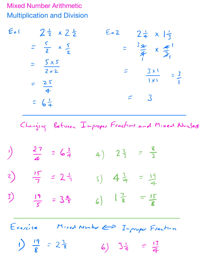## Mixed Number Arithmetic Multiplication and Division

Ext  $2\frac{1}{2} \times 2\frac{1}{2}$  Ex2  $2\frac{1}{4} \times 1\frac{1}{3}$ <br>=  $\frac{5}{2} \times \frac{5}{2}$  =  $\frac{3\frac{9}{4}}{2} \times \frac{4}{2}$  $\frac{1}{2}$  x  $\frac{3}{2}$  =  $\frac{94}{4}$  x<br>S x 5  $\overline{\mathbf{3}}$  $=\frac{\sqrt{x}}{2\times2}$  $2 \times 2$   $=$   $5 \times 1$  $25$  $= 3$  $=$   $\frac{25}{4}$  $= 6\frac{1}{4}$ Changing Between Improper Fractions and Mixed Numbers  $\frac{27}{4}$  = 6 $\frac{3}{4}$  4)  $2\frac{2}{3}$  =  $\frac{8}{3}$  $\frac{15}{7}$  = 2 $\frac{1}{7}$  () 4 $\frac{3}{4}$  =  $\frac{19}{4}$ 3) <u>19</u> s  $6)$   $\frac{7}{8}$   $\frac{15}{8}$ Exercise Mixed Number E> Improper Fraction 1)  $\frac{19}{8}$  =  $2\frac{3}{8}$  6)  $3\frac{1}{4}$  =  $\frac{13}{4}$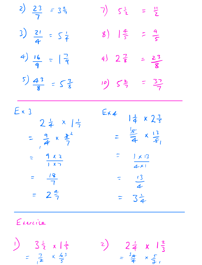| $\left(\frac{23}{7}\right) = 3\frac{2}{7}$                                                                   | $7)$ $5\frac{1}{2}$ = $\frac{11}{2}$                                                            |
|--------------------------------------------------------------------------------------------------------------|-------------------------------------------------------------------------------------------------|
| $3) \frac{2!}{4} = 5\frac{1}{4}$                                                                             | 8) $\frac{4}{5} = \frac{9}{5}$                                                                  |
| $4)$ $\frac{16}{9}$ = $\frac{7}{9}$                                                                          | $4)$ $2\frac{7}{8}$ = $\frac{23}{8}$                                                            |
| $\left(\frac{5}{8}\right) \frac{4^3}{8} = \frac{5^3}{8}$                                                     | $10)$ $5\frac{2}{7}$ = $\frac{37}{7}$                                                           |
| $E \times 3$<br>$= \frac{9}{4} \times \frac{1}{7}$<br>$= \frac{9}{4} \times \frac{1}{7}$<br>$\frac{9x2}{10}$ | Ex4<br>$\frac{14}{4} \times 2\frac{3}{5}$<br>= $\frac{15}{4} \times \frac{13}{5}$<br> x <br>4x1 |
| $\frac{12}{7}$<br>$\frac{1}{2^{2}7}$                                                                         | $\frac{13}{4}$<br>$3\frac{1}{4}$                                                                |

Exercise

 $\frac{1}{2}$  3  $\frac{1}{2}$  x 1  $\frac{1}{5}$ <br>=  $\frac{7}{12}$  x  $\frac{6}{5}$ 2)  $2\frac{1}{4} \times 1\frac{2}{3}$ <br>=  $\frac{3a}{4} \times \frac{5}{3}$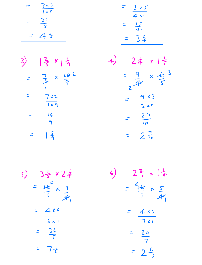$$
=\frac{7 \times 3}{1 \times 5}
$$

$$
=\frac{21}{5}
$$

$$
=\frac{21}{5}
$$

$$
=\frac{3 \times 5}{4 \times 1}
$$

$$
=\frac{15}{4}
$$

$$
=\frac{3}{4}
$$

3) 
$$
|\frac{2}{5} \times |\frac{1}{9}|
$$
  
\n $= \frac{7}{5} \times \frac{10}{9} = \frac{10}{1}$   
\n $= \frac{7}{5} \times \frac{10}{9} = \frac{10}{9}$   
\n $= \frac{14}{9}$   
\n $= \frac{5}{9}$ 

4) 
$$
2\frac{1}{4} \times 1\frac{1}{5}
$$
  
\n
$$
= \frac{9}{24} \times \frac{1}{5}
$$
\n
$$
= \frac{9 \times 3}{2 \times 5}
$$
\n
$$
= \frac{27}{10}
$$
\n
$$
= 2\frac{7}{10}
$$

5)  $3\frac{1}{5} \times 2\frac{1}{4}$ <br>=  $\frac{16}{5}$   $\frac{9}{4}$  $=\frac{4\times9}{5\times1}$  $\frac{36}{5}$  $\mathbb{R}$  $= 7\frac{1}{3}$ 

6) 
$$
2\frac{2}{7} \times 1\frac{1}{4}
$$
  
=  $\frac{4}{7} \times \frac{5}{41}$   
=  $\frac{4 \times 5}{7 \times 1}$   
=  $\frac{20}{7}$ 

$$
= 2 \frac{6}{2}
$$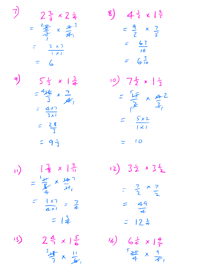$2\frac{2}{3} \times 2\frac{1}{4}$ =  $\frac{28}{7} \times \frac{9}{4}^{3}$  $= \frac{2 \times 3}{1 \times 1}$  $= 6$ 

 $5\frac{1}{3} \times 1\frac{3}{4}$ <br>=  $4\frac{16}{3} \times \frac{7}{4}$ <br>=  $\frac{4\times7}{3\times1}$ 

 $\bigtriangledown$ 

 $q$ 

 $8)$  4  $\frac{1}{2} \times 1\frac{2}{5}$  $=\frac{9}{2} \times \frac{7}{5}$  $\frac{63}{10}$  $= 6\frac{3}{10}$ 

10) 7<sup>2</sup> x 1<sup>2</sup>  $=\frac{55}{12} \times \frac{42}{3}$  $=\frac{5x^2}{1\times 1}$  $=$  10

 $\frac{2}{8} \times \frac{3}{11}$  $\sqrt{ }$  $=\frac{1}{8} \times \frac{16}{11}$  $= \frac{|x|}{4x} = \frac{7}{4}$  $= | \frac{3}{4} |$ 

 $=$   $\frac{28}{1}$ 

 $= 9\frac{1}{3}$ 

 $24 \times 16$  $\frac{1}{3}$  $\frac{3}{7}x\frac{11}{6}$ 

12) 32 x 32  $=$   $\frac{7}{2}$   $\times$   $\frac{7}{2}$  $= \frac{49}{4}$  $= 12\frac{1}{4}$ 

14)  $6\frac{1}{4} \times 1\frac{4}{5}$ <br> $5\frac{25}{4} \times \frac{9}{5}$